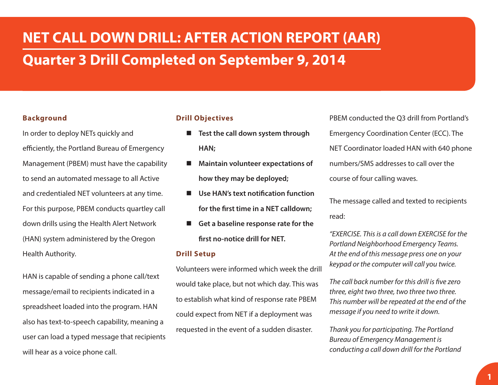# **NET CALL DOWN DRILL: AFTER ACTION REPORT (AAR) Quarter 3 Drill Completed on September 9, 2014**

## **Background**

In order to deploy NETs quickly and efficiently, the Portland Bureau of Emergency Management (PBEM) must have the capability to send an automated message to all Active and credentialed NET volunteers at any time. For this purpose, PBEM conducts quartley call down drills using the Health Alert Network (HAN) system administered by the Oregon Health Authority.

HAN is capable of sending a phone call/text message/email to recipients indicated in a spreadsheet loaded into the program. HAN also has text-to-speech capability, meaning a user can load a typed message that recipients will hear as a voice phone call.

#### **Drill Objectives**

- Test the call down system through **HAN;**
- **Maintain volunteer expectations of how they may be deployed;**
- **Use HAN's text notification function for the first time in a NET calldown;**
- **Get a baseline response rate for the first no-notice drill for NET.**

#### **Drill Setup**

Volunteers were informed which week the drill would take place, but not which day. This was to establish what kind of response rate PBEM could expect from NET if a deployment was requested in the event of a sudden disaster.

PBEM conducted the Q3 drill from Portland's Emergency Coordination Center (ECC). The NET Coordinator loaded HAN with 640 phone numbers/SMS addresses to call over the course of four calling waves.

The message called and texted to recipients read:

*"EXERCISE. This is a call down EXERCISE for the Portland Neighborhood Emergency Teams. At the end of this message press one on your keypad or the computer will call you twice.*

*The call back number for this drill is five zero three, eight two three, two three two three. This number will be repeated at the end of the message if you need to write it down.*

*Thank you for participating. The Portland Bureau of Emergency Management is conducting a call down drill for the Portland*